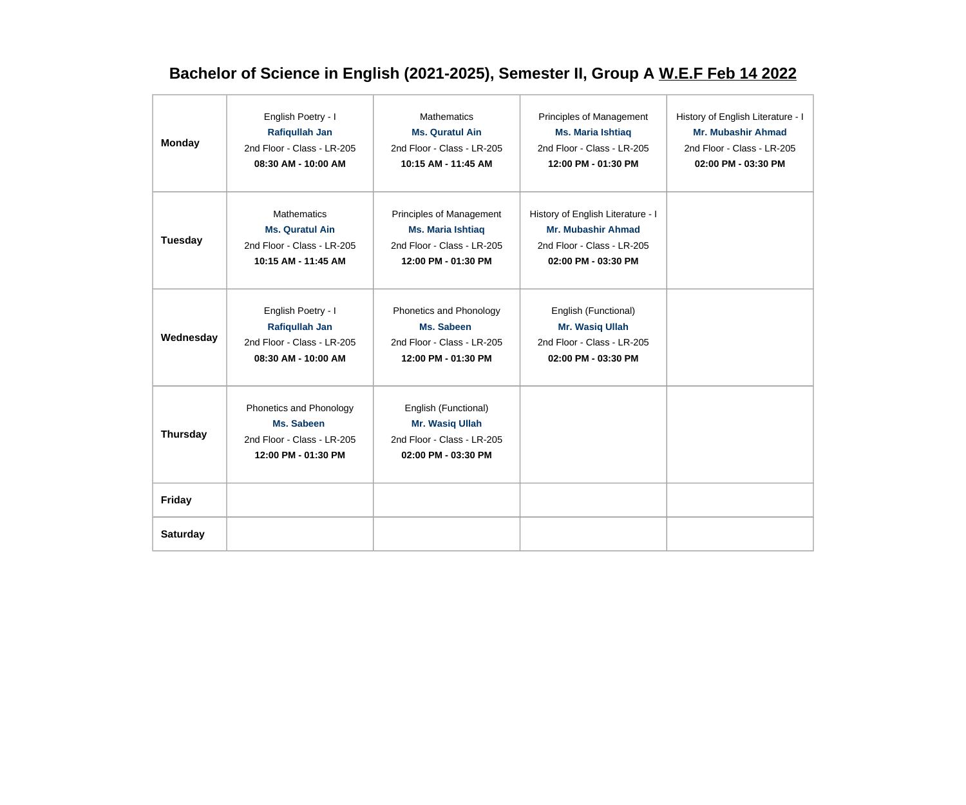# **Bachelor of Science in English (2021-2025), Semester II, Group A W.E.F Feb 14 2022**

| <b>Monday</b>   | English Poetry - I<br><b>Rafiqullah Jan</b><br>2nd Floor - Class - LR-205<br>08:30 AM - 10:00 AM  | <b>Mathematics</b><br><b>Ms. Quratul Ain</b><br>2nd Floor - Class - LR-205<br>10:15 AM - 11:45 AM         | Principles of Management<br><b>Ms. Maria Ishtiaq</b><br>2nd Floor - Class - LR-205<br>12:00 PM - 01:30 PM           | History of English Literature - I<br>Mr. Mubashir Ahmad<br>2nd Floor - Class - LR-205<br>02:00 PM - 03:30 PM |
|-----------------|---------------------------------------------------------------------------------------------------|-----------------------------------------------------------------------------------------------------------|---------------------------------------------------------------------------------------------------------------------|--------------------------------------------------------------------------------------------------------------|
| <b>Tuesday</b>  | <b>Mathematics</b><br><b>Ms. Quratul Ain</b><br>2nd Floor - Class - LR-205<br>10:15 AM - 11:45 AM | Principles of Management<br><b>Ms. Maria Ishtiaq</b><br>2nd Floor - Class - LR-205<br>12:00 PM - 01:30 PM | History of English Literature - I<br><b>Mr. Mubashir Ahmad</b><br>2nd Floor - Class - LR-205<br>02:00 PM - 03:30 PM |                                                                                                              |
| Wednesday       | English Poetry - I<br><b>Rafiqullah Jan</b><br>2nd Floor - Class - LR-205<br>08:30 AM - 10:00 AM  | Phonetics and Phonology<br>Ms. Sabeen<br>2nd Floor - Class - LR-205<br>12:00 PM - 01:30 PM                | English (Functional)<br>Mr. Wasiq Ullah<br>2nd Floor - Class - LR-205<br>02:00 PM - 03:30 PM                        |                                                                                                              |
| <b>Thursday</b> | Phonetics and Phonology<br>Ms. Sabeen<br>2nd Floor - Class - LR-205<br>12:00 PM - 01:30 PM        | English (Functional)<br>Mr. Wasiq Ullah<br>2nd Floor - Class - LR-205<br>02:00 PM - 03:30 PM              |                                                                                                                     |                                                                                                              |
| Friday          |                                                                                                   |                                                                                                           |                                                                                                                     |                                                                                                              |
| <b>Saturday</b> |                                                                                                   |                                                                                                           |                                                                                                                     |                                                                                                              |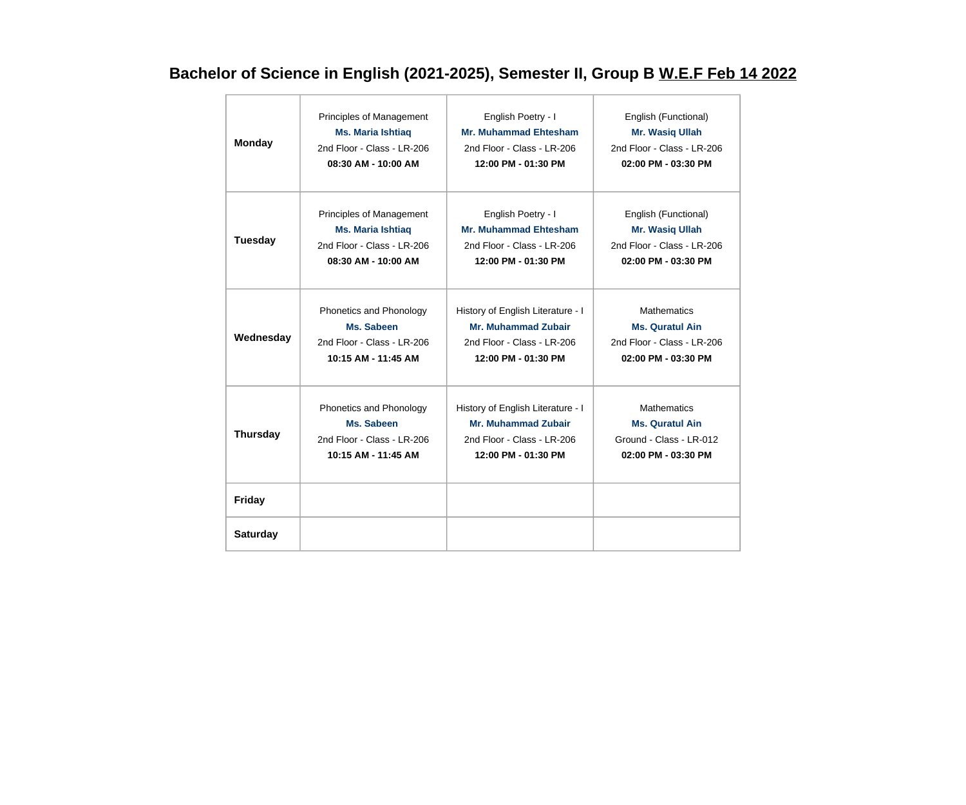# **Bachelor of Science in English (2021-2025), Semester II, Group B W.E.F Feb 14 2022**

| <b>Monday</b>   | Principles of Management   | English Poetry - I                | English (Functional)       |
|-----------------|----------------------------|-----------------------------------|----------------------------|
|                 | <b>Ms. Maria Ishtiaq</b>   | <b>Mr. Muhammad Ehtesham</b>      | Mr. Wasiq Ullah            |
|                 | 2nd Floor - Class - LR-206 | 2nd Floor - Class - LR-206        | 2nd Floor - Class - LR-206 |
|                 | 08:30 AM - 10:00 AM        | 12:00 PM - 01:30 PM               | 02:00 PM - 03:30 PM        |
| <b>Tuesday</b>  | Principles of Management   | English Poetry - I                | English (Functional)       |
|                 | <b>Ms. Maria Ishtiaq</b>   | <b>Mr. Muhammad Ehtesham</b>      | <b>Mr. Wasiq Ullah</b>     |
|                 | 2nd Floor - Class - LR-206 | 2nd Floor - Class - LR-206        | 2nd Floor - Class - LR-206 |
|                 | 08:30 AM - 10:00 AM        | 12:00 PM - 01:30 PM               | 02:00 PM - 03:30 PM        |
| Wednesday       | Phonetics and Phonology    | History of English Literature - I | <b>Mathematics</b>         |
|                 | Ms. Sabeen                 | <b>Mr. Muhammad Zubair</b>        | <b>Ms. Quratul Ain</b>     |
|                 | 2nd Floor - Class - LR-206 | 2nd Floor - Class - LR-206        | 2nd Floor - Class - LR-206 |
|                 | 10:15 AM - 11:45 AM        | 12:00 PM - 01:30 PM               | 02:00 PM - 03:30 PM        |
| <b>Thursday</b> | Phonetics and Phonology    | History of English Literature - I | <b>Mathematics</b>         |
|                 | Ms. Sabeen                 | <b>Mr. Muhammad Zubair</b>        | <b>Ms. Quratul Ain</b>     |
|                 | 2nd Floor - Class - LR-206 | 2nd Floor - Class - LR-206        | Ground - Class - LR-012    |
|                 | 10:15 AM - 11:45 AM        | 12:00 PM - 01:30 PM               | $02:00$ PM - $03:30$ PM    |
| <b>Friday</b>   |                            |                                   |                            |
| <b>Saturday</b> |                            |                                   |                            |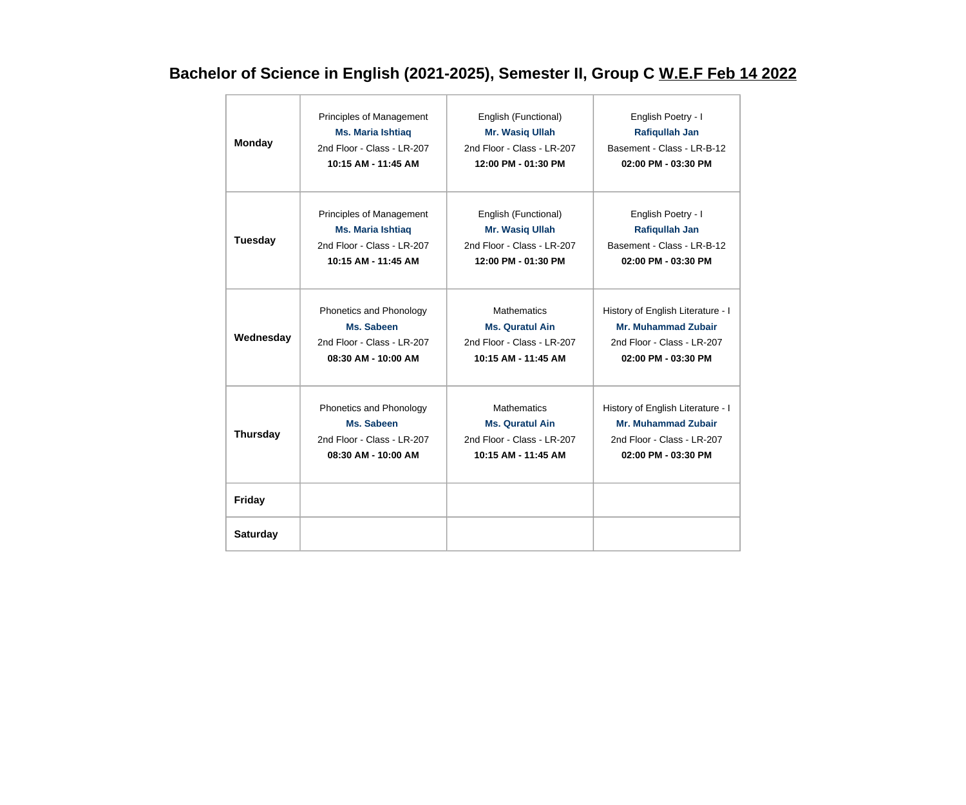# **Bachelor of Science in English (2021-2025), Semester II, Group C W.E.F Feb 14 2022**

| <b>Monday</b>   | Principles of Management   | English (Functional)       | English Poetry - I                |
|-----------------|----------------------------|----------------------------|-----------------------------------|
|                 | <b>Ms. Maria Ishtiaq</b>   | Mr. Wasiq Ullah            | <b>Rafiqullah Jan</b>             |
|                 | 2nd Floor - Class - LR-207 | 2nd Floor - Class - LR-207 | Basement - Class - LR-B-12        |
|                 | 10:15 AM - 11:45 AM        | 12:00 PM - 01:30 PM        | 02:00 PM - 03:30 PM               |
| <b>Tuesday</b>  | Principles of Management   | English (Functional)       | English Poetry - I                |
|                 | <b>Ms. Maria Ishtiaq</b>   | Mr. Wasiq Ullah            | <b>Rafiqullah Jan</b>             |
|                 | 2nd Floor - Class - LR-207 | 2nd Floor - Class - LR-207 | Basement - Class - LR-B-12        |
|                 | 10:15 AM - 11:45 AM        | 12:00 PM - 01:30 PM        | $02:00$ PM - $03:30$ PM           |
| Wednesday       | Phonetics and Phonology    | <b>Mathematics</b>         | History of English Literature - I |
|                 | Ms. Sabeen                 | <b>Ms. Quratul Ain</b>     | <b>Mr. Muhammad Zubair</b>        |
|                 | 2nd Floor - Class - LR-207 | 2nd Floor - Class - LR-207 | 2nd Floor - Class - LR-207        |
|                 | 08:30 AM - 10:00 AM        | 10:15 AM - 11:45 AM        | 02:00 PM - 03:30 PM               |
| <b>Thursday</b> | Phonetics and Phonology    | <b>Mathematics</b>         | History of English Literature - I |
|                 | Ms. Sabeen                 | <b>Ms. Quratul Ain</b>     | <b>Mr. Muhammad Zubair</b>        |
|                 | 2nd Floor - Class - LR-207 | 2nd Floor - Class - LR-207 | 2nd Floor - Class - LR-207        |
|                 | 08:30 AM - 10:00 AM        | 10:15 AM - 11:45 AM        | 02:00 PM - 03:30 PM               |
| <b>Friday</b>   |                            |                            |                                   |
| <b>Saturday</b> |                            |                            |                                   |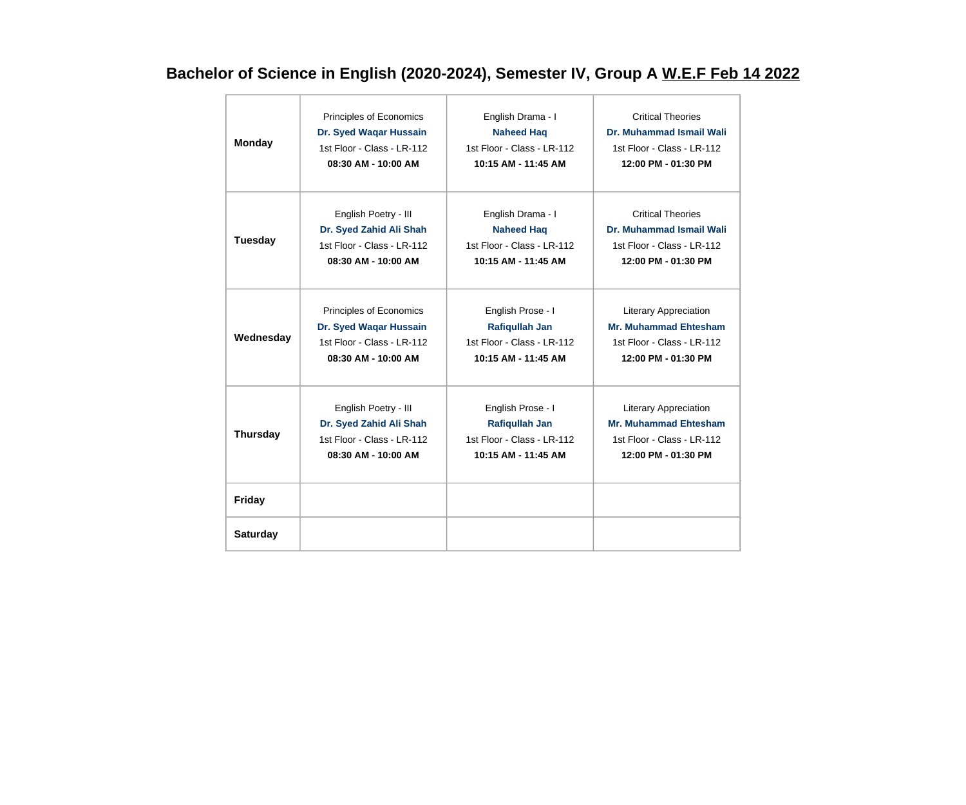# **Bachelor of Science in English (2020-2024), Semester IV, Group A W.E.F Feb 14 2022**

| <b>Monday</b>   | Principles of Economics    | English Drama - I          | <b>Critical Theories</b>     |
|-----------------|----------------------------|----------------------------|------------------------------|
|                 | Dr. Syed Waqar Hussain     | <b>Naheed Haq</b>          | Dr. Muhammad Ismail Wali     |
|                 | 1st Floor - Class - LR-112 | 1st Floor - Class - LR-112 | 1st Floor - Class - LR-112   |
|                 | 08:30 AM - 10:00 AM        | 10:15 AM - 11:45 AM        | 12:00 PM - 01:30 PM          |
| <b>Tuesday</b>  | English Poetry - III       | English Drama - I          | <b>Critical Theories</b>     |
|                 | Dr. Syed Zahid Ali Shah    | <b>Naheed Haq</b>          | Dr. Muhammad Ismail Wali     |
|                 | 1st Floor - Class - LR-112 | 1st Floor - Class - LR-112 | 1st Floor - Class - LR-112   |
|                 | 08:30 AM - 10:00 AM        | 10:15 AM - 11:45 AM        | 12:00 PM - 01:30 PM          |
| Wednesday       | Principles of Economics    | English Prose - I          | <b>Literary Appreciation</b> |
|                 | Dr. Syed Waqar Hussain     | <b>Rafiqullah Jan</b>      | <b>Mr. Muhammad Ehtesham</b> |
|                 | 1st Floor - Class - LR-112 | 1st Floor - Class - LR-112 | 1st Floor - Class - LR-112   |
|                 | 08:30 AM - 10:00 AM        | 10:15 AM - 11:45 AM        | 12:00 PM - 01:30 PM          |
| <b>Thursday</b> | English Poetry - III       | English Prose - I          | <b>Literary Appreciation</b> |
|                 | Dr. Syed Zahid Ali Shah    | <b>Rafiqullah Jan</b>      | <b>Mr. Muhammad Ehtesham</b> |
|                 | 1st Floor - Class - LR-112 | 1st Floor - Class - LR-112 | 1st Floor - Class - LR-112   |
|                 | 08:30 AM - 10:00 AM        | 10:15 AM - 11:45 AM        | 12:00 PM - 01:30 PM          |
| <b>Friday</b>   |                            |                            |                              |
| <b>Saturday</b> |                            |                            |                              |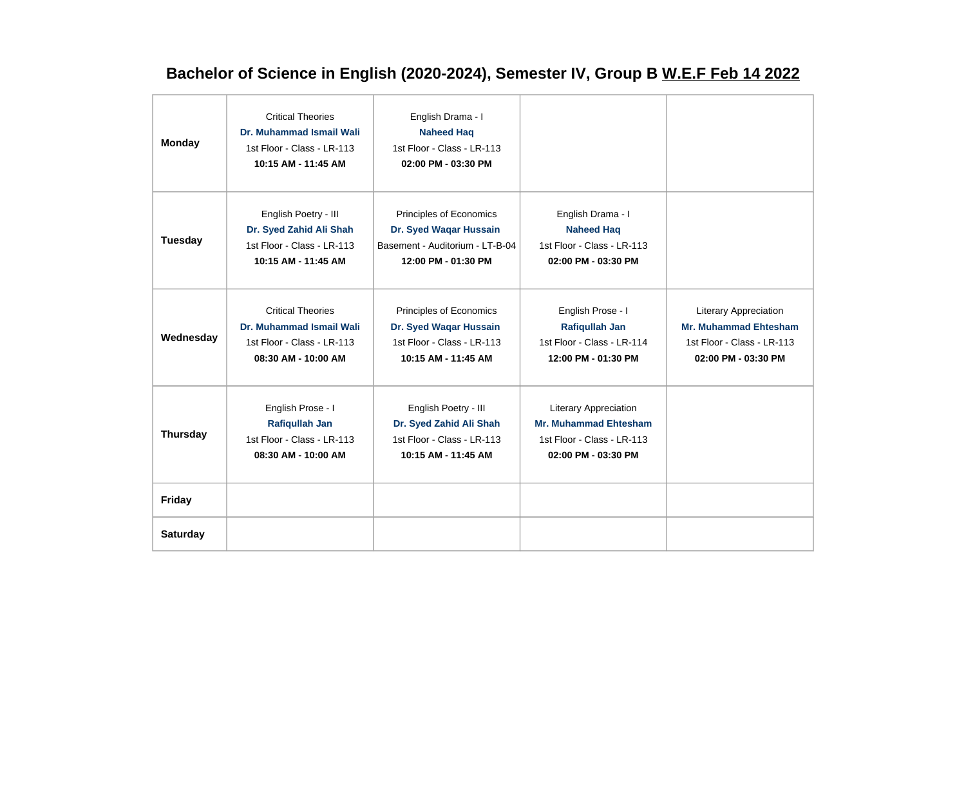# **Bachelor of Science in English (2020-2024), Semester IV, Group B W.E.F Feb 14 2022**

| <b>Monday</b>   | <b>Critical Theories</b><br>Dr. Muhammad Ismail Wali<br>1st Floor - Class - LR-113<br>10:15 AM - 11:45 AM | English Drama - I<br><b>Naheed Haq</b><br>1st Floor - Class - LR-113<br>02:00 PM - 03:30 PM                 |                                                                                                                   |                                                                                                            |
|-----------------|-----------------------------------------------------------------------------------------------------------|-------------------------------------------------------------------------------------------------------------|-------------------------------------------------------------------------------------------------------------------|------------------------------------------------------------------------------------------------------------|
| Tuesday         | English Poetry - III<br>Dr. Syed Zahid Ali Shah<br>1st Floor - Class - LR-113<br>10:15 AM - 11:45 AM      | Principles of Economics<br>Dr. Syed Waqar Hussain<br>Basement - Auditorium - LT-B-04<br>12:00 PM - 01:30 PM | English Drama - I<br><b>Naheed Haq</b><br>1st Floor - Class - LR-113<br>02:00 PM - 03:30 PM                       |                                                                                                            |
| Wednesday       | <b>Critical Theories</b><br>Dr. Muhammad Ismail Wali<br>1st Floor - Class - LR-113<br>08:30 AM - 10:00 AM | Principles of Economics<br>Dr. Syed Waqar Hussain<br>1st Floor - Class - LR-113<br>10:15 AM - 11:45 AM      | English Prose - I<br><b>Rafiqullah Jan</b><br>1st Floor - Class - LR-114<br>12:00 PM - 01:30 PM                   | Literary Appreciation<br><b>Mr. Muhammad Ehtesham</b><br>1st Floor - Class - LR-113<br>02:00 PM - 03:30 PM |
| <b>Thursday</b> | English Prose - I<br>Rafiqullah Jan<br>1st Floor - Class - LR-113<br>08:30 AM - 10:00 AM                  | English Poetry - III<br>Dr. Syed Zahid Ali Shah<br>1st Floor - Class - LR-113<br>10:15 AM - 11:45 AM        | <b>Literary Appreciation</b><br><b>Mr. Muhammad Ehtesham</b><br>1st Floor - Class - LR-113<br>02:00 PM - 03:30 PM |                                                                                                            |
| Friday          |                                                                                                           |                                                                                                             |                                                                                                                   |                                                                                                            |
| <b>Saturday</b> |                                                                                                           |                                                                                                             |                                                                                                                   |                                                                                                            |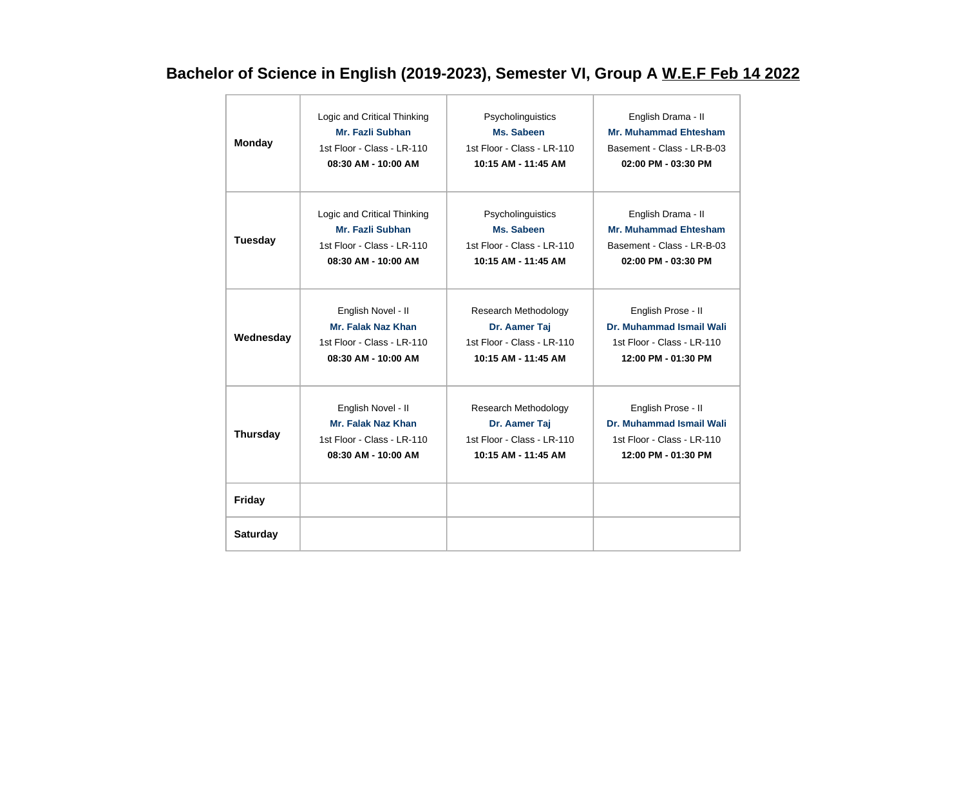# **Bachelor of Science in English (2019-2023), Semester VI, Group A W.E.F Feb 14 2022**

| <b>Monday</b>   | Logic and Critical Thinking | Psycholinguistics          | English Drama - II           |
|-----------------|-----------------------------|----------------------------|------------------------------|
|                 | Mr. Fazli Subhan            | Ms. Sabeen                 | <b>Mr. Muhammad Ehtesham</b> |
|                 | 1st Floor - Class - LR-110  | 1st Floor - Class - LR-110 | Basement - Class - LR-B-03   |
|                 | 08:30 AM - 10:00 AM         | 10:15 AM - 11:45 AM        | 02:00 PM - 03:30 PM          |
| <b>Tuesday</b>  | Logic and Critical Thinking | Psycholinguistics          | English Drama - II           |
|                 | Mr. Fazli Subhan            | Ms. Sabeen                 | <b>Mr. Muhammad Ehtesham</b> |
|                 | 1st Floor - Class - LR-110  | 1st Floor - Class - LR-110 | Basement - Class - LR-B-03   |
|                 | 08:30 AM - 10:00 AM         | 10:15 AM - 11:45 AM        | 02:00 PM - 03:30 PM          |
| Wednesday       | English Novel - II          | Research Methodology       | English Prose - II           |
|                 | <b>Mr. Falak Naz Khan</b>   | Dr. Aamer Taj              | Dr. Muhammad Ismail Wali     |
|                 | 1st Floor - Class - LR-110  | 1st Floor - Class - LR-110 | 1st Floor - Class - LR-110   |
|                 | 08:30 AM - 10:00 AM         | 10:15 AM - 11:45 AM        | 12:00 PM - 01:30 PM          |
| <b>Thursday</b> | English Novel - II          | Research Methodology       | English Prose - II           |
|                 | <b>Mr. Falak Naz Khan</b>   | Dr. Aamer Taj              | Dr. Muhammad Ismail Wali     |
|                 | 1st Floor - Class - LR-110  | 1st Floor - Class - LR-110 | 1st Floor - Class - LR-110   |
|                 | 08:30 AM - 10:00 AM         | 10:15 AM - 11:45 AM        | 12:00 PM - 01:30 PM          |
| <b>Friday</b>   |                             |                            |                              |
| <b>Saturday</b> |                             |                            |                              |